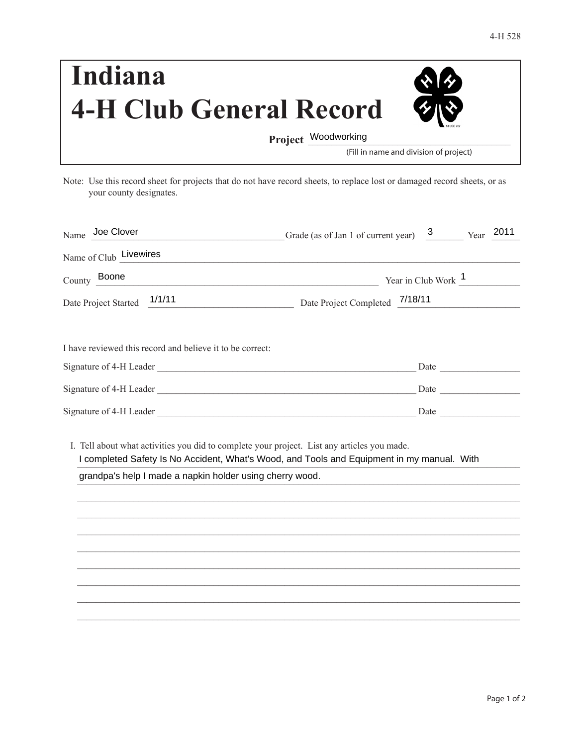| Indiana                        | 本の |
|--------------------------------|----|
| <b>4-H Club General Record</b> | 多心 |
| Project Woodworking            |    |

(Fill in name and division of project)

Note: Use this record sheet for projects that do not have record sheets, to replace lost or damaged record sheets, or as your county designates.

| Name Joe Clover                                                                                                                                         | $3 \quad \blacksquare$<br>Year 2011<br>Grade (as of Jan 1 of current year)                 |
|---------------------------------------------------------------------------------------------------------------------------------------------------------|--------------------------------------------------------------------------------------------|
| Name of Club Livewires                                                                                                                                  | <u> 1989 - Johann Barn, fransk politik (d. 1989)</u>                                       |
| County Boone                                                                                                                                            | Year in Club Work $\frac{1}{\sqrt{1-\frac{1}{2}}}\$                                        |
| Date Project Started 1/1/11                                                                                                                             | Date Project Completed 7/18/11                                                             |
| I have reviewed this record and believe it to be correct:                                                                                               |                                                                                            |
|                                                                                                                                                         |                                                                                            |
|                                                                                                                                                         |                                                                                            |
|                                                                                                                                                         |                                                                                            |
| I. Tell about what activities you did to complete your project. List any articles you made.<br>grandpa's help I made a napkin holder using cherry wood. | I completed Safety Is No Accident, What's Wood, and Tools and Equipment in my manual. With |
|                                                                                                                                                         |                                                                                            |
|                                                                                                                                                         |                                                                                            |
|                                                                                                                                                         |                                                                                            |
|                                                                                                                                                         |                                                                                            |
|                                                                                                                                                         |                                                                                            |
|                                                                                                                                                         |                                                                                            |